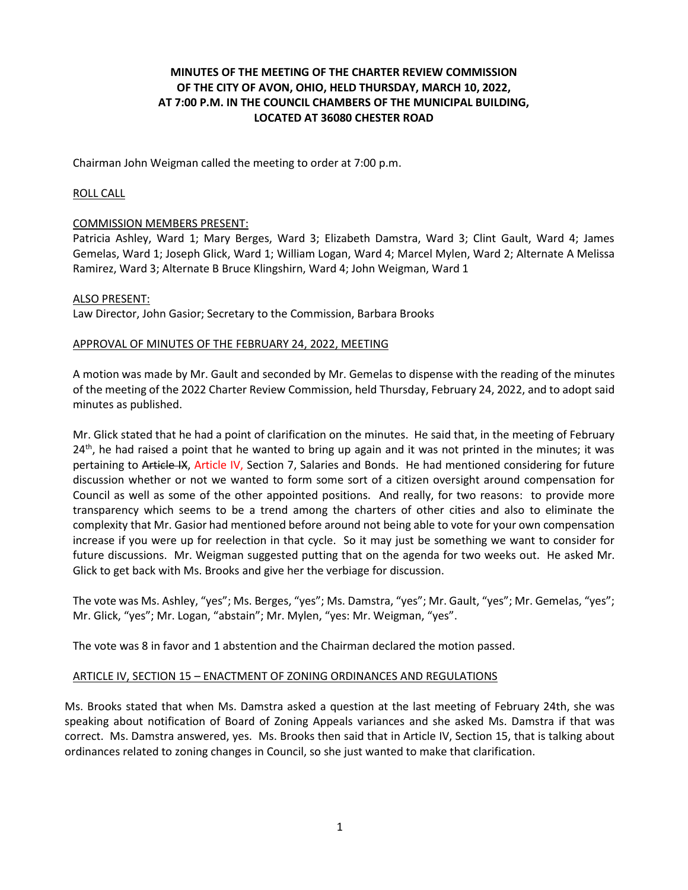# **MINUTES OF THE MEETING OF THE CHARTER REVIEW COMMISSION OF THE CITY OF AVON, OHIO, HELD THURSDAY, MARCH 10, 2022, AT 7:00 P.M. IN THE COUNCIL CHAMBERS OF THE MUNICIPAL BUILDING, LOCATED AT 36080 CHESTER ROAD**

Chairman John Weigman called the meeting to order at 7:00 p.m.

## ROLL CALL

## COMMISSION MEMBERS PRESENT:

Patricia Ashley, Ward 1; Mary Berges, Ward 3; Elizabeth Damstra, Ward 3; Clint Gault, Ward 4; James Gemelas, Ward 1; Joseph Glick, Ward 1; William Logan, Ward 4; Marcel Mylen, Ward 2; Alternate A Melissa Ramirez, Ward 3; Alternate B Bruce Klingshirn, Ward 4; John Weigman, Ward 1

#### ALSO PRESENT:

Law Director, John Gasior; Secretary to the Commission, Barbara Brooks

## APPROVAL OF MINUTES OF THE FEBRUARY 24, 2022, MEETING

A motion was made by Mr. Gault and seconded by Mr. Gemelas to dispense with the reading of the minutes of the meeting of the 2022 Charter Review Commission, held Thursday, February 24, 2022, and to adopt said minutes as published.

Mr. Glick stated that he had a point of clarification on the minutes. He said that, in the meeting of February  $24<sup>th</sup>$ , he had raised a point that he wanted to bring up again and it was not printed in the minutes; it was pertaining to Article IX, Article IV, Section 7, Salaries and Bonds. He had mentioned considering for future discussion whether or not we wanted to form some sort of a citizen oversight around compensation for Council as well as some of the other appointed positions. And really, for two reasons: to provide more transparency which seems to be a trend among the charters of other cities and also to eliminate the complexity that Mr. Gasior had mentioned before around not being able to vote for your own compensation increase if you were up for reelection in that cycle. So it may just be something we want to consider for future discussions. Mr. Weigman suggested putting that on the agenda for two weeks out. He asked Mr. Glick to get back with Ms. Brooks and give her the verbiage for discussion.

The vote was Ms. Ashley, "yes"; Ms. Berges, "yes"; Ms. Damstra, "yes"; Mr. Gault, "yes"; Mr. Gemelas, "yes"; Mr. Glick, "yes"; Mr. Logan, "abstain"; Mr. Mylen, "yes: Mr. Weigman, "yes".

The vote was 8 in favor and 1 abstention and the Chairman declared the motion passed.

## ARTICLE IV, SECTION 15 – ENACTMENT OF ZONING ORDINANCES AND REGULATIONS

Ms. Brooks stated that when Ms. Damstra asked a question at the last meeting of February 24th, she was speaking about notification of Board of Zoning Appeals variances and she asked Ms. Damstra if that was correct. Ms. Damstra answered, yes. Ms. Brooks then said that in Article IV, Section 15, that is talking about ordinances related to zoning changes in Council, so she just wanted to make that clarification.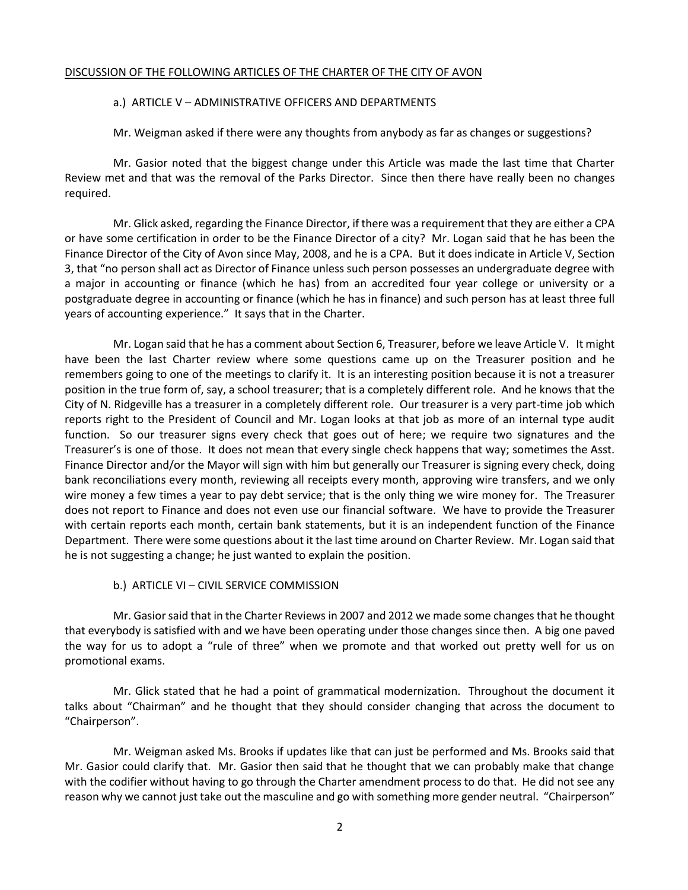#### DISCUSSION OF THE FOLLOWING ARTICLES OF THE CHARTER OF THE CITY OF AVON

#### a.) ARTICLE V – ADMINISTRATIVE OFFICERS AND DEPARTMENTS

Mr. Weigman asked if there were any thoughts from anybody as far as changes or suggestions?

Mr. Gasior noted that the biggest change under this Article was made the last time that Charter Review met and that was the removal of the Parks Director. Since then there have really been no changes required.

Mr. Glick asked, regarding the Finance Director, if there was a requirement that they are either a CPA or have some certification in order to be the Finance Director of a city? Mr. Logan said that he has been the Finance Director of the City of Avon since May, 2008, and he is a CPA. But it does indicate in Article V, Section 3, that "no person shall act as Director of Finance unless such person possesses an undergraduate degree with a major in accounting or finance (which he has) from an accredited four year college or university or a postgraduate degree in accounting or finance (which he has in finance) and such person has at least three full years of accounting experience." It says that in the Charter.

Mr. Logan said that he has a comment about Section 6, Treasurer, before we leave Article V. It might have been the last Charter review where some questions came up on the Treasurer position and he remembers going to one of the meetings to clarify it. It is an interesting position because it is not a treasurer position in the true form of, say, a school treasurer; that is a completely different role. And he knows that the City of N. Ridgeville has a treasurer in a completely different role. Our treasurer is a very part-time job which reports right to the President of Council and Mr. Logan looks at that job as more of an internal type audit function. So our treasurer signs every check that goes out of here; we require two signatures and the Treasurer's is one of those. It does not mean that every single check happens that way; sometimes the Asst. Finance Director and/or the Mayor will sign with him but generally our Treasurer is signing every check, doing bank reconciliations every month, reviewing all receipts every month, approving wire transfers, and we only wire money a few times a year to pay debt service; that is the only thing we wire money for. The Treasurer does not report to Finance and does not even use our financial software. We have to provide the Treasurer with certain reports each month, certain bank statements, but it is an independent function of the Finance Department. There were some questions about it the last time around on Charter Review. Mr. Logan said that he is not suggesting a change; he just wanted to explain the position.

#### b.) ARTICLE VI – CIVIL SERVICE COMMISSION

Mr. Gasior said that in the Charter Reviews in 2007 and 2012 we made some changes that he thought that everybody is satisfied with and we have been operating under those changes since then. A big one paved the way for us to adopt a "rule of three" when we promote and that worked out pretty well for us on promotional exams.

Mr. Glick stated that he had a point of grammatical modernization. Throughout the document it talks about "Chairman" and he thought that they should consider changing that across the document to "Chairperson".

Mr. Weigman asked Ms. Brooks if updates like that can just be performed and Ms. Brooks said that Mr. Gasior could clarify that. Mr. Gasior then said that he thought that we can probably make that change with the codifier without having to go through the Charter amendment process to do that. He did not see any reason why we cannot just take out the masculine and go with something more gender neutral. "Chairperson"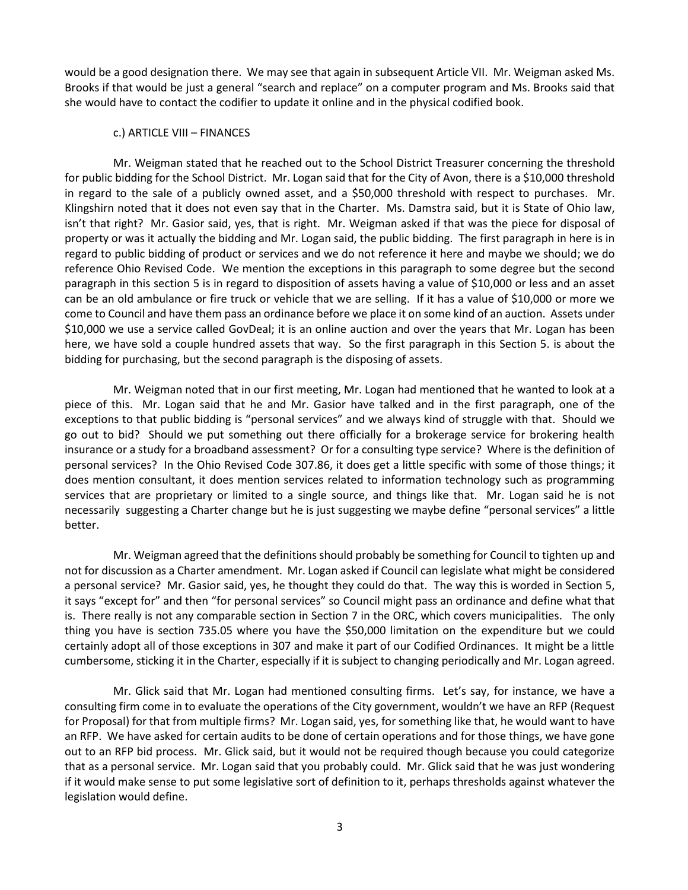would be a good designation there. We may see that again in subsequent Article VII. Mr. Weigman asked Ms. Brooks if that would be just a general "search and replace" on a computer program and Ms. Brooks said that she would have to contact the codifier to update it online and in the physical codified book.

#### c.) ARTICLE VIII – FINANCES

Mr. Weigman stated that he reached out to the School District Treasurer concerning the threshold for public bidding for the School District. Mr. Logan said that for the City of Avon, there is a \$10,000 threshold in regard to the sale of a publicly owned asset, and a \$50,000 threshold with respect to purchases. Mr. Klingshirn noted that it does not even say that in the Charter. Ms. Damstra said, but it is State of Ohio law, isn't that right? Mr. Gasior said, yes, that is right. Mr. Weigman asked if that was the piece for disposal of property or was it actually the bidding and Mr. Logan said, the public bidding. The first paragraph in here is in regard to public bidding of product or services and we do not reference it here and maybe we should; we do reference Ohio Revised Code. We mention the exceptions in this paragraph to some degree but the second paragraph in this section 5 is in regard to disposition of assets having a value of \$10,000 or less and an asset can be an old ambulance or fire truck or vehicle that we are selling. If it has a value of \$10,000 or more we come to Council and have them pass an ordinance before we place it on some kind of an auction. Assets under \$10,000 we use a service called GovDeal; it is an online auction and over the years that Mr. Logan has been here, we have sold a couple hundred assets that way. So the first paragraph in this Section 5. is about the bidding for purchasing, but the second paragraph is the disposing of assets.

Mr. Weigman noted that in our first meeting, Mr. Logan had mentioned that he wanted to look at a piece of this. Mr. Logan said that he and Mr. Gasior have talked and in the first paragraph, one of the exceptions to that public bidding is "personal services" and we always kind of struggle with that. Should we go out to bid? Should we put something out there officially for a brokerage service for brokering health insurance or a study for a broadband assessment? Or for a consulting type service? Where is the definition of personal services? In the Ohio Revised Code 307.86, it does get a little specific with some of those things; it does mention consultant, it does mention services related to information technology such as programming services that are proprietary or limited to a single source, and things like that. Mr. Logan said he is not necessarily suggesting a Charter change but he is just suggesting we maybe define "personal services" a little better.

Mr. Weigman agreed that the definitions should probably be something for Council to tighten up and not for discussion as a Charter amendment. Mr. Logan asked if Council can legislate what might be considered a personal service? Mr. Gasior said, yes, he thought they could do that. The way this is worded in Section 5, it says "except for" and then "for personal services" so Council might pass an ordinance and define what that is. There really is not any comparable section in Section 7 in the ORC, which covers municipalities. The only thing you have is section 735.05 where you have the \$50,000 limitation on the expenditure but we could certainly adopt all of those exceptions in 307 and make it part of our Codified Ordinances. It might be a little cumbersome, sticking it in the Charter, especially if it is subject to changing periodically and Mr. Logan agreed.

Mr. Glick said that Mr. Logan had mentioned consulting firms. Let's say, for instance, we have a consulting firm come in to evaluate the operations of the City government, wouldn't we have an RFP (Request for Proposal) for that from multiple firms? Mr. Logan said, yes, for something like that, he would want to have an RFP. We have asked for certain audits to be done of certain operations and for those things, we have gone out to an RFP bid process. Mr. Glick said, but it would not be required though because you could categorize that as a personal service. Mr. Logan said that you probably could. Mr. Glick said that he was just wondering if it would make sense to put some legislative sort of definition to it, perhaps thresholds against whatever the legislation would define.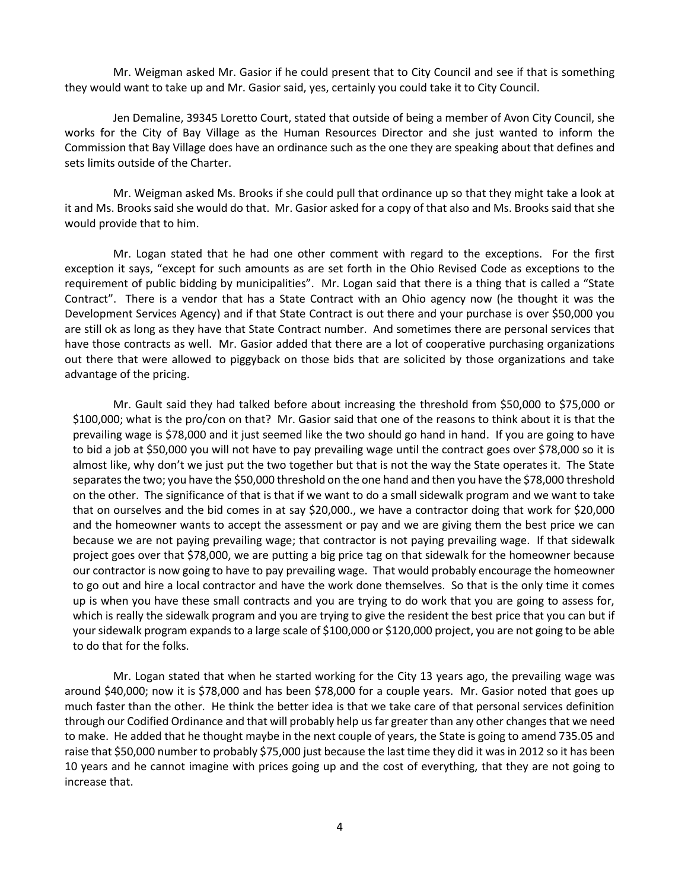Mr. Weigman asked Mr. Gasior if he could present that to City Council and see if that is something they would want to take up and Mr. Gasior said, yes, certainly you could take it to City Council.

Jen Demaline, 39345 Loretto Court, stated that outside of being a member of Avon City Council, she works for the City of Bay Village as the Human Resources Director and she just wanted to inform the Commission that Bay Village does have an ordinance such as the one they are speaking about that defines and sets limits outside of the Charter.

Mr. Weigman asked Ms. Brooks if she could pull that ordinance up so that they might take a look at it and Ms. Brooks said she would do that. Mr. Gasior asked for a copy of that also and Ms. Brooks said that she would provide that to him.

Mr. Logan stated that he had one other comment with regard to the exceptions. For the first exception it says, "except for such amounts as are set forth in the Ohio Revised Code as exceptions to the requirement of public bidding by municipalities". Mr. Logan said that there is a thing that is called a "State Contract". There is a vendor that has a State Contract with an Ohio agency now (he thought it was the Development Services Agency) and if that State Contract is out there and your purchase is over \$50,000 you are still ok as long as they have that State Contract number. And sometimes there are personal services that have those contracts as well. Mr. Gasior added that there are a lot of cooperative purchasing organizations out there that were allowed to piggyback on those bids that are solicited by those organizations and take advantage of the pricing.

Mr. Gault said they had talked before about increasing the threshold from \$50,000 to \$75,000 or \$100,000; what is the pro/con on that? Mr. Gasior said that one of the reasons to think about it is that the prevailing wage is \$78,000 and it just seemed like the two should go hand in hand. If you are going to have to bid a job at \$50,000 you will not have to pay prevailing wage until the contract goes over \$78,000 so it is almost like, why don't we just put the two together but that is not the way the State operates it. The State separates the two; you have the \$50,000 threshold on the one hand and then you have the \$78,000 threshold on the other. The significance of that is that if we want to do a small sidewalk program and we want to take that on ourselves and the bid comes in at say \$20,000., we have a contractor doing that work for \$20,000 and the homeowner wants to accept the assessment or pay and we are giving them the best price we can because we are not paying prevailing wage; that contractor is not paying prevailing wage. If that sidewalk project goes over that \$78,000, we are putting a big price tag on that sidewalk for the homeowner because our contractor is now going to have to pay prevailing wage. That would probably encourage the homeowner to go out and hire a local contractor and have the work done themselves. So that is the only time it comes up is when you have these small contracts and you are trying to do work that you are going to assess for, which is really the sidewalk program and you are trying to give the resident the best price that you can but if your sidewalk program expands to a large scale of \$100,000 or \$120,000 project, you are not going to be able to do that for the folks.

Mr. Logan stated that when he started working for the City 13 years ago, the prevailing wage was around \$40,000; now it is \$78,000 and has been \$78,000 for a couple years. Mr. Gasior noted that goes up much faster than the other. He think the better idea is that we take care of that personal services definition through our Codified Ordinance and that will probably help us far greater than any other changes that we need to make. He added that he thought maybe in the next couple of years, the State is going to amend 735.05 and raise that \$50,000 number to probably \$75,000 just because the last time they did it was in 2012 so it has been 10 years and he cannot imagine with prices going up and the cost of everything, that they are not going to increase that.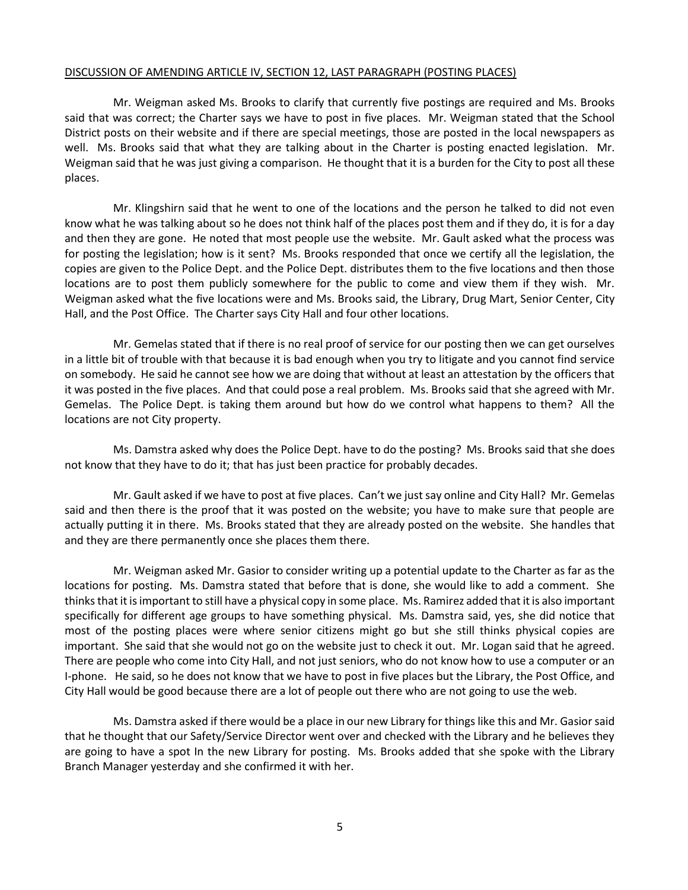#### DISCUSSION OF AMENDING ARTICLE IV, SECTION 12, LAST PARAGRAPH (POSTING PLACES)

Mr. Weigman asked Ms. Brooks to clarify that currently five postings are required and Ms. Brooks said that was correct; the Charter says we have to post in five places. Mr. Weigman stated that the School District posts on their website and if there are special meetings, those are posted in the local newspapers as well. Ms. Brooks said that what they are talking about in the Charter is posting enacted legislation. Mr. Weigman said that he was just giving a comparison. He thought that it is a burden for the City to post all these places.

Mr. Klingshirn said that he went to one of the locations and the person he talked to did not even know what he was talking about so he does not think half of the places post them and if they do, it is for a day and then they are gone. He noted that most people use the website. Mr. Gault asked what the process was for posting the legislation; how is it sent? Ms. Brooks responded that once we certify all the legislation, the copies are given to the Police Dept. and the Police Dept. distributes them to the five locations and then those locations are to post them publicly somewhere for the public to come and view them if they wish. Mr. Weigman asked what the five locations were and Ms. Brooks said, the Library, Drug Mart, Senior Center, City Hall, and the Post Office. The Charter says City Hall and four other locations.

Mr. Gemelas stated that if there is no real proof of service for our posting then we can get ourselves in a little bit of trouble with that because it is bad enough when you try to litigate and you cannot find service on somebody. He said he cannot see how we are doing that without at least an attestation by the officers that it was posted in the five places. And that could pose a real problem. Ms. Brooks said that she agreed with Mr. Gemelas. The Police Dept. is taking them around but how do we control what happens to them? All the locations are not City property.

Ms. Damstra asked why does the Police Dept. have to do the posting? Ms. Brooks said that she does not know that they have to do it; that has just been practice for probably decades.

Mr. Gault asked if we have to post at five places. Can't we just say online and City Hall? Mr. Gemelas said and then there is the proof that it was posted on the website; you have to make sure that people are actually putting it in there. Ms. Brooks stated that they are already posted on the website. She handles that and they are there permanently once she places them there.

Mr. Weigman asked Mr. Gasior to consider writing up a potential update to the Charter as far as the locations for posting. Ms. Damstra stated that before that is done, she would like to add a comment. She thinks that it is important to still have a physical copy in some place. Ms. Ramirez added that it is also important specifically for different age groups to have something physical. Ms. Damstra said, yes, she did notice that most of the posting places were where senior citizens might go but she still thinks physical copies are important. She said that she would not go on the website just to check it out. Mr. Logan said that he agreed. There are people who come into City Hall, and not just seniors, who do not know how to use a computer or an I-phone. He said, so he does not know that we have to post in five places but the Library, the Post Office, and City Hall would be good because there are a lot of people out there who are not going to use the web.

Ms. Damstra asked if there would be a place in our new Library for things like this and Mr. Gasior said that he thought that our Safety/Service Director went over and checked with the Library and he believes they are going to have a spot In the new Library for posting. Ms. Brooks added that she spoke with the Library Branch Manager yesterday and she confirmed it with her.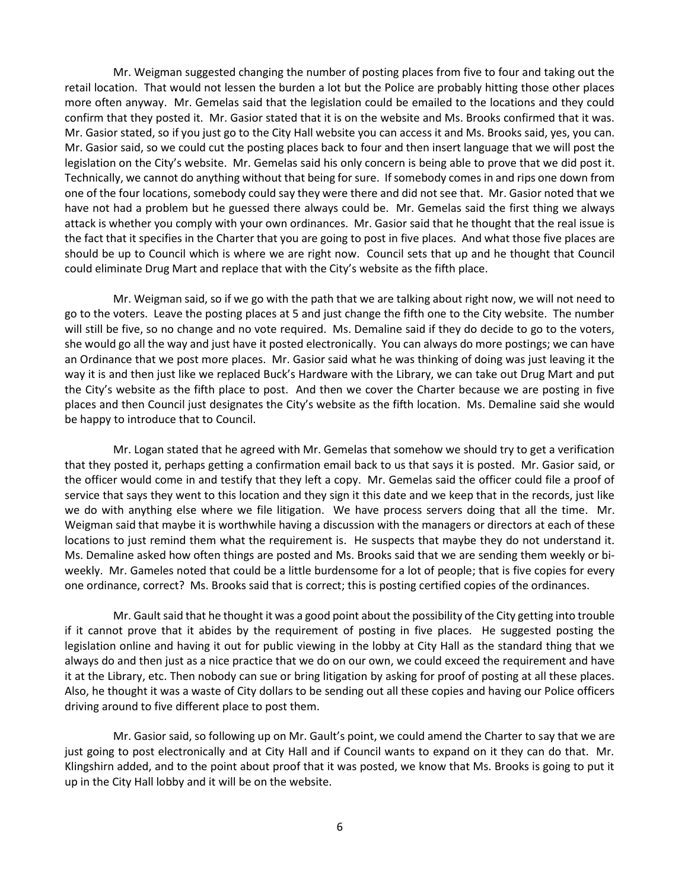Mr. Weigman suggested changing the number of posting places from five to four and taking out the retail location. That would not lessen the burden a lot but the Police are probably hitting those other places more often anyway. Mr. Gemelas said that the legislation could be emailed to the locations and they could confirm that they posted it. Mr. Gasior stated that it is on the website and Ms. Brooks confirmed that it was. Mr. Gasior stated, so if you just go to the City Hall website you can access it and Ms. Brooks said, yes, you can. Mr. Gasior said, so we could cut the posting places back to four and then insert language that we will post the legislation on the City's website. Mr. Gemelas said his only concern is being able to prove that we did post it. Technically, we cannot do anything without that being for sure. If somebody comes in and rips one down from one of the four locations, somebody could say they were there and did not see that. Mr. Gasior noted that we have not had a problem but he guessed there always could be. Mr. Gemelas said the first thing we always attack is whether you comply with your own ordinances. Mr. Gasior said that he thought that the real issue is the fact that it specifies in the Charter that you are going to post in five places. And what those five places are should be up to Council which is where we are right now. Council sets that up and he thought that Council could eliminate Drug Mart and replace that with the City's website as the fifth place.

Mr. Weigman said, so if we go with the path that we are talking about right now, we will not need to go to the voters. Leave the posting places at 5 and just change the fifth one to the City website. The number will still be five, so no change and no vote required. Ms. Demaline said if they do decide to go to the voters, she would go all the way and just have it posted electronically. You can always do more postings; we can have an Ordinance that we post more places. Mr. Gasior said what he was thinking of doing was just leaving it the way it is and then just like we replaced Buck's Hardware with the Library, we can take out Drug Mart and put the City's website as the fifth place to post. And then we cover the Charter because we are posting in five places and then Council just designates the City's website as the fifth location. Ms. Demaline said she would be happy to introduce that to Council.

Mr. Logan stated that he agreed with Mr. Gemelas that somehow we should try to get a verification that they posted it, perhaps getting a confirmation email back to us that says it is posted. Mr. Gasior said, or the officer would come in and testify that they left a copy. Mr. Gemelas said the officer could file a proof of service that says they went to this location and they sign it this date and we keep that in the records, just like we do with anything else where we file litigation. We have process servers doing that all the time. Mr. Weigman said that maybe it is worthwhile having a discussion with the managers or directors at each of these locations to just remind them what the requirement is. He suspects that maybe they do not understand it. Ms. Demaline asked how often things are posted and Ms. Brooks said that we are sending them weekly or biweekly. Mr. Gameles noted that could be a little burdensome for a lot of people; that is five copies for every one ordinance, correct? Ms. Brooks said that is correct; this is posting certified copies of the ordinances.

Mr. Gault said that he thought it was a good point about the possibility of the City getting into trouble if it cannot prove that it abides by the requirement of posting in five places. He suggested posting the legislation online and having it out for public viewing in the lobby at City Hall as the standard thing that we always do and then just as a nice practice that we do on our own, we could exceed the requirement and have it at the Library, etc. Then nobody can sue or bring litigation by asking for proof of posting at all these places. Also, he thought it was a waste of City dollars to be sending out all these copies and having our Police officers driving around to five different place to post them.

Mr. Gasior said, so following up on Mr. Gault's point, we could amend the Charter to say that we are just going to post electronically and at City Hall and if Council wants to expand on it they can do that. Mr. Klingshirn added, and to the point about proof that it was posted, we know that Ms. Brooks is going to put it up in the City Hall lobby and it will be on the website.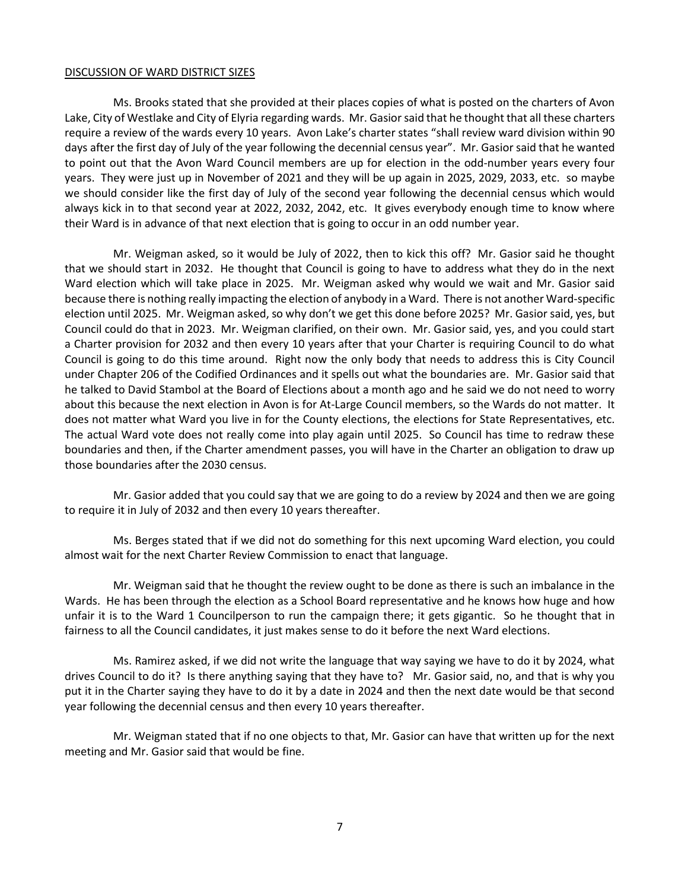#### DISCUSSION OF WARD DISTRICT SIZES

Ms. Brooks stated that she provided at their places copies of what is posted on the charters of Avon Lake, City of Westlake and City of Elyria regarding wards. Mr. Gasior said that he thought that all these charters require a review of the wards every 10 years. Avon Lake's charter states "shall review ward division within 90 days after the first day of July of the year following the decennial census year". Mr. Gasior said that he wanted to point out that the Avon Ward Council members are up for election in the odd-number years every four years. They were just up in November of 2021 and they will be up again in 2025, 2029, 2033, etc. so maybe we should consider like the first day of July of the second year following the decennial census which would always kick in to that second year at 2022, 2032, 2042, etc. It gives everybody enough time to know where their Ward is in advance of that next election that is going to occur in an odd number year.

Mr. Weigman asked, so it would be July of 2022, then to kick this off? Mr. Gasior said he thought that we should start in 2032. He thought that Council is going to have to address what they do in the next Ward election which will take place in 2025. Mr. Weigman asked why would we wait and Mr. Gasior said because there is nothing really impacting the election of anybody in a Ward. There is not another Ward-specific election until 2025. Mr. Weigman asked, so why don't we get this done before 2025? Mr. Gasior said, yes, but Council could do that in 2023. Mr. Weigman clarified, on their own. Mr. Gasior said, yes, and you could start a Charter provision for 2032 and then every 10 years after that your Charter is requiring Council to do what Council is going to do this time around. Right now the only body that needs to address this is City Council under Chapter 206 of the Codified Ordinances and it spells out what the boundaries are. Mr. Gasior said that he talked to David Stambol at the Board of Elections about a month ago and he said we do not need to worry about this because the next election in Avon is for At-Large Council members, so the Wards do not matter. It does not matter what Ward you live in for the County elections, the elections for State Representatives, etc. The actual Ward vote does not really come into play again until 2025. So Council has time to redraw these boundaries and then, if the Charter amendment passes, you will have in the Charter an obligation to draw up those boundaries after the 2030 census.

Mr. Gasior added that you could say that we are going to do a review by 2024 and then we are going to require it in July of 2032 and then every 10 years thereafter.

Ms. Berges stated that if we did not do something for this next upcoming Ward election, you could almost wait for the next Charter Review Commission to enact that language.

Mr. Weigman said that he thought the review ought to be done as there is such an imbalance in the Wards. He has been through the election as a School Board representative and he knows how huge and how unfair it is to the Ward 1 Councilperson to run the campaign there; it gets gigantic. So he thought that in fairness to all the Council candidates, it just makes sense to do it before the next Ward elections.

Ms. Ramirez asked, if we did not write the language that way saying we have to do it by 2024, what drives Council to do it? Is there anything saying that they have to? Mr. Gasior said, no, and that is why you put it in the Charter saying they have to do it by a date in 2024 and then the next date would be that second year following the decennial census and then every 10 years thereafter.

Mr. Weigman stated that if no one objects to that, Mr. Gasior can have that written up for the next meeting and Mr. Gasior said that would be fine.